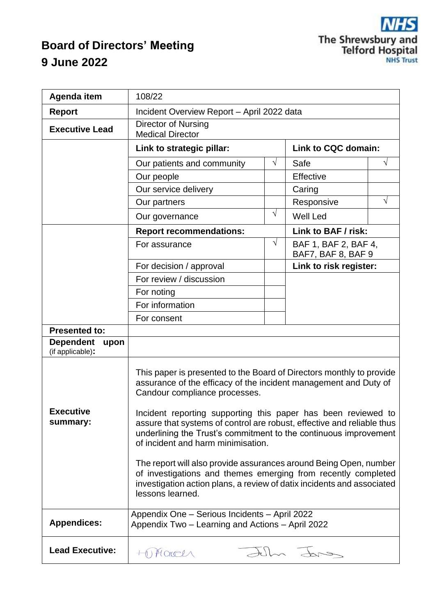# **Board of Directors' Meeting 9 June 2022**

| Agenda item                                  | 108/22                                                                                                                                                                                                                                                                                                                                                                                                                                                                                                                                                                                                                                                             |            |                                            |           |  |
|----------------------------------------------|--------------------------------------------------------------------------------------------------------------------------------------------------------------------------------------------------------------------------------------------------------------------------------------------------------------------------------------------------------------------------------------------------------------------------------------------------------------------------------------------------------------------------------------------------------------------------------------------------------------------------------------------------------------------|------------|--------------------------------------------|-----------|--|
| <b>Report</b>                                | Incident Overview Report - April 2022 data                                                                                                                                                                                                                                                                                                                                                                                                                                                                                                                                                                                                                         |            |                                            |           |  |
| <b>Executive Lead</b>                        | <b>Director of Nursing</b><br><b>Medical Director</b>                                                                                                                                                                                                                                                                                                                                                                                                                                                                                                                                                                                                              |            |                                            |           |  |
|                                              | Link to strategic pillar:                                                                                                                                                                                                                                                                                                                                                                                                                                                                                                                                                                                                                                          |            | Link to CQC domain:                        |           |  |
|                                              | Our patients and community                                                                                                                                                                                                                                                                                                                                                                                                                                                                                                                                                                                                                                         | V          | Safe                                       | V         |  |
|                                              | Our people                                                                                                                                                                                                                                                                                                                                                                                                                                                                                                                                                                                                                                                         |            | Effective                                  |           |  |
|                                              | Our service delivery                                                                                                                                                                                                                                                                                                                                                                                                                                                                                                                                                                                                                                               |            | Caring                                     |           |  |
|                                              | Our partners                                                                                                                                                                                                                                                                                                                                                                                                                                                                                                                                                                                                                                                       |            | Responsive                                 | $\sqrt{}$ |  |
|                                              | Our governance                                                                                                                                                                                                                                                                                                                                                                                                                                                                                                                                                                                                                                                     | $\sqrt{ }$ | <b>Well Led</b>                            |           |  |
|                                              | <b>Report recommendations:</b>                                                                                                                                                                                                                                                                                                                                                                                                                                                                                                                                                                                                                                     |            | Link to BAF / risk:                        |           |  |
|                                              | For assurance                                                                                                                                                                                                                                                                                                                                                                                                                                                                                                                                                                                                                                                      | $\sqrt{}$  | BAF 1, BAF 2, BAF 4,<br>BAF7, BAF 8, BAF 9 |           |  |
|                                              | For decision / approval                                                                                                                                                                                                                                                                                                                                                                                                                                                                                                                                                                                                                                            |            | Link to risk register:                     |           |  |
|                                              | For review / discussion                                                                                                                                                                                                                                                                                                                                                                                                                                                                                                                                                                                                                                            |            |                                            |           |  |
|                                              | For noting                                                                                                                                                                                                                                                                                                                                                                                                                                                                                                                                                                                                                                                         |            |                                            |           |  |
|                                              | For information                                                                                                                                                                                                                                                                                                                                                                                                                                                                                                                                                                                                                                                    |            |                                            |           |  |
|                                              | For consent                                                                                                                                                                                                                                                                                                                                                                                                                                                                                                                                                                                                                                                        |            |                                            |           |  |
| <b>Presented to:</b>                         |                                                                                                                                                                                                                                                                                                                                                                                                                                                                                                                                                                                                                                                                    |            |                                            |           |  |
| <b>Dependent</b><br>upon<br>(if applicable): |                                                                                                                                                                                                                                                                                                                                                                                                                                                                                                                                                                                                                                                                    |            |                                            |           |  |
| <b>Executive</b><br>summary:                 | This paper is presented to the Board of Directors monthly to provide<br>assurance of the efficacy of the incident management and Duty of<br>Candour compliance processes.<br>Incident reporting supporting this paper has been reviewed to<br>assure that systems of control are robust, effective and reliable thus<br>underlining the Trust's commitment to the continuous improvement<br>of incident and harm minimisation.<br>The report will also provide assurances around Being Open, number<br>of investigations and themes emerging from recently completed<br>investigation action plans, a review of datix incidents and associated<br>lessons learned. |            |                                            |           |  |
| <b>Appendices:</b>                           | Appendix One - Serious Incidents - April 2022<br>Appendix Two - Learning and Actions - April 2022                                                                                                                                                                                                                                                                                                                                                                                                                                                                                                                                                                  |            |                                            |           |  |
| <b>Lead Executive:</b>                       | Hace                                                                                                                                                                                                                                                                                                                                                                                                                                                                                                                                                                                                                                                               |            | Julia Jar                                  |           |  |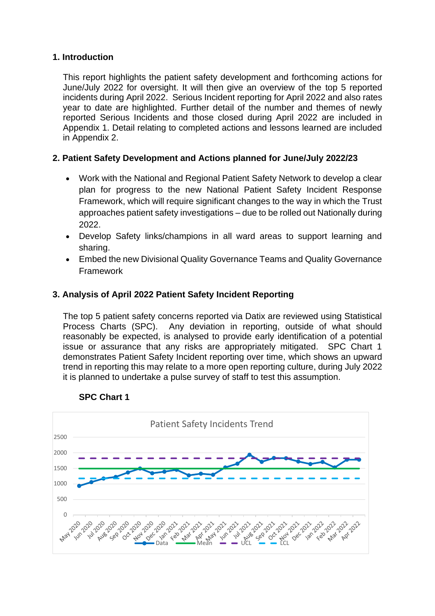#### **1. Introduction**

This report highlights the patient safety development and forthcoming actions for June/July 2022 for oversight. It will then give an overview of the top 5 reported incidents during April 2022. Serious Incident reporting for April 2022 and also rates year to date are highlighted. Further detail of the number and themes of newly reported Serious Incidents and those closed during April 2022 are included in Appendix 1. Detail relating to completed actions and lessons learned are included in Appendix 2.

## **2. Patient Safety Development and Actions planned for June/July 2022/23**

- Work with the National and Regional Patient Safety Network to develop a clear plan for progress to the new National Patient Safety Incident Response Framework, which will require significant changes to the way in which the Trust approaches patient safety investigations – due to be rolled out Nationally during 2022.
- Develop Safety links/champions in all ward areas to support learning and sharing.
- Embed the new Divisional Quality Governance Teams and Quality Governance Framework

## **3. Analysis of April 2022 Patient Safety Incident Reporting**

The top 5 patient safety concerns reported via Datix are reviewed using Statistical Process Charts (SPC). Any deviation in reporting, outside of what should reasonably be expected, is analysed to provide early identification of a potential issue or assurance that any risks are appropriately mitigated. SPC Chart 1 demonstrates Patient Safety Incident reporting over time, which shows an upward trend in reporting this may relate to a more open reporting culture, during July 2022 it is planned to undertake a pulse survey of staff to test this assumption.



#### **SPC Chart 1**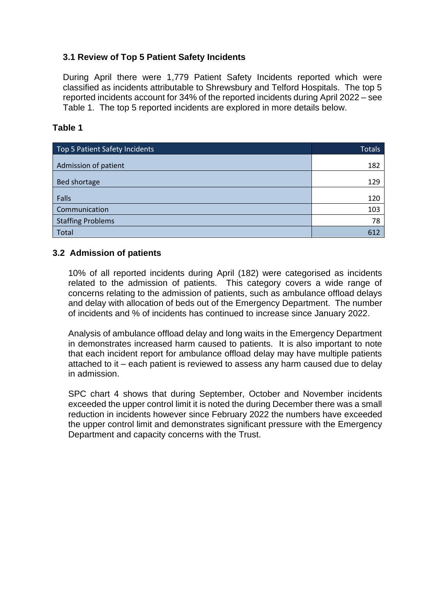## **3.1 Review of Top 5 Patient Safety Incidents**

During April there were 1,779 Patient Safety Incidents reported which were classified as incidents attributable to Shrewsbury and Telford Hospitals. The top 5 reported incidents account for 34% of the reported incidents during April 2022 – see Table 1. The top 5 reported incidents are explored in more details below.

#### **Table 1**

| Top 5 Patient Safety Incidents | <b>Totals</b> |
|--------------------------------|---------------|
| Admission of patient           | 182           |
| <b>Bed shortage</b>            | 129           |
| Falls                          | 120           |
| Communication                  | 103           |
| <b>Staffing Problems</b>       | 78            |
| <b>Total</b>                   | 612           |

## **3.2 Admission of patients**

10% of all reported incidents during April (182) were categorised as incidents related to the admission of patients. This category covers a wide range of concerns relating to the admission of patients, such as ambulance offload delays and delay with allocation of beds out of the Emergency Department. The number of incidents and % of incidents has continued to increase since January 2022.

Analysis of ambulance offload delay and long waits in the Emergency Department in demonstrates increased harm caused to patients. It is also important to note that each incident report for ambulance offload delay may have multiple patients attached to it – each patient is reviewed to assess any harm caused due to delay in admission.

SPC chart 4 shows that during September, October and November incidents exceeded the upper control limit it is noted the during December there was a small reduction in incidents however since February 2022 the numbers have exceeded the upper control limit and demonstrates significant pressure with the Emergency Department and capacity concerns with the Trust.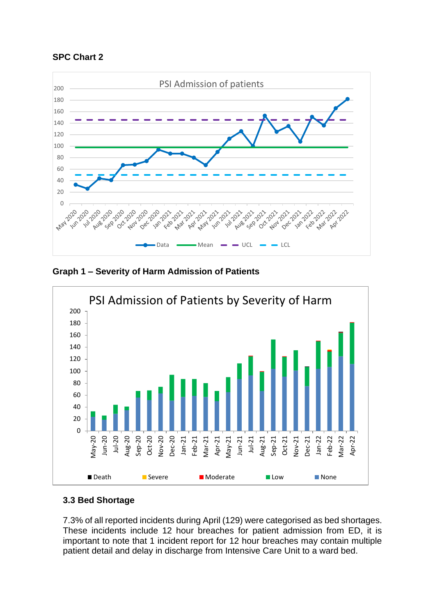



**Graph 1 – Severity of Harm Admission of Patients**



## **3.3 Bed Shortage**

7.3% of all reported incidents during April (129) were categorised as bed shortages. These incidents include 12 hour breaches for patient admission from ED, it is important to note that 1 incident report for 12 hour breaches may contain multiple patient detail and delay in discharge from Intensive Care Unit to a ward bed.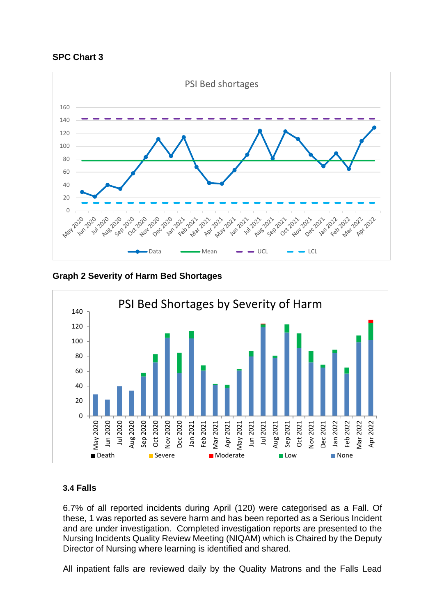



**Graph 2 Severity of Harm Bed Shortages**



## **3.4 Falls**

6.7% of all reported incidents during April (120) were categorised as a Fall. Of these, 1 was reported as severe harm and has been reported as a Serious Incident and are under investigation. Completed investigation reports are presented to the Nursing Incidents Quality Review Meeting (NIQAM) which is Chaired by the Deputy Director of Nursing where learning is identified and shared.

All inpatient falls are reviewed daily by the Quality Matrons and the Falls Lead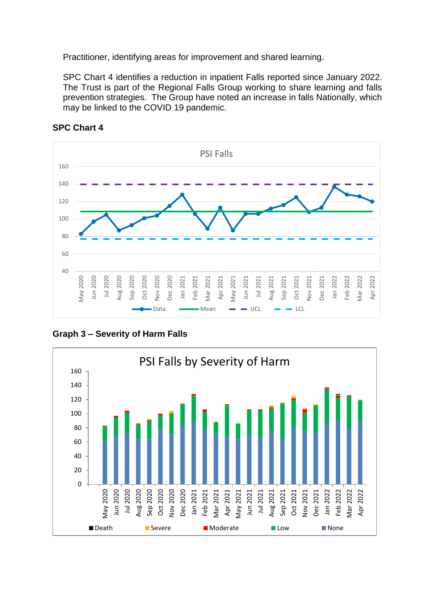Practitioner, identifying areas for improvement and shared learning.

SPC Chart 4 identifies a reduction in inpatient Falls reported since January 2022. The Trust is part of the Regional Falls Group working to share learning and falls prevention strategies. The Group have noted an increase in falls Nationally, which may be linked to the COVID 19 pandemic.



**SPC Chart 4**



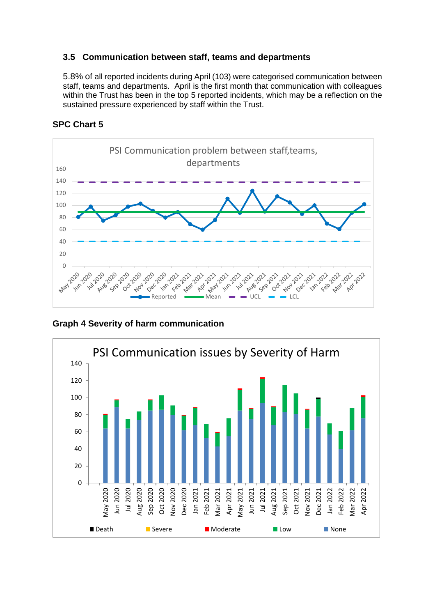#### **3.5 Communication between staff, teams and departments**

5.8% of all reported incidents during April (103) were categorised communication between staff, teams and departments. April is the first month that communication with colleagues within the Trust has been in the top 5 reported incidents, which may be a reflection on the sustained pressure experienced by staff within the Trust.



#### **SPC Chart 5**

**Graph 4 Severity of harm communication**

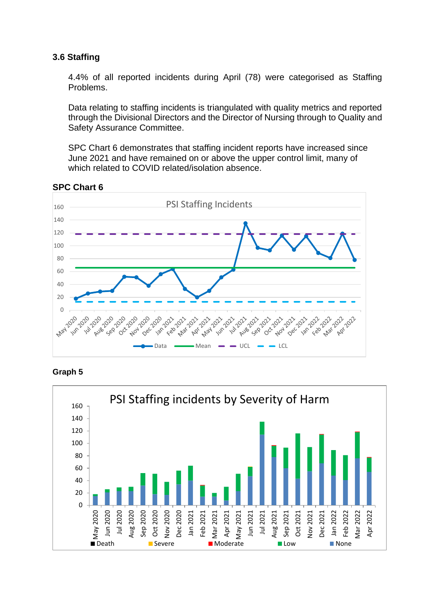#### **3.6 Staffing**

4.4% of all reported incidents during April (78) were categorised as Staffing Problems.

Data relating to staffing incidents is triangulated with quality metrics and reported through the Divisional Directors and the Director of Nursing through to Quality and Safety Assurance Committee.

SPC Chart 6 demonstrates that staffing incident reports have increased since June 2021 and have remained on or above the upper control limit, many of which related to COVID related/isolation absence.



**SPC Chart 6**



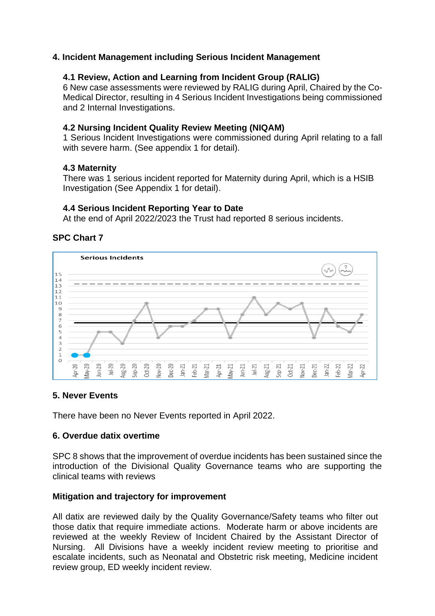#### **4. Incident Management including Serious Incident Management**

#### **4.1 Review, Action and Learning from Incident Group (RALIG)**

6 New case assessments were reviewed by RALIG during April, Chaired by the Co-Medical Director, resulting in 4 Serious Incident Investigations being commissioned and 2 Internal Investigations.

#### **4.2 Nursing Incident Quality Review Meeting (NIQAM)**

1 Serious Incident Investigations were commissioned during April relating to a fall with severe harm. (See appendix 1 for detail).

#### **4.3 Maternity**

There was 1 serious incident reported for Maternity during April, which is a HSIB Investigation (See Appendix 1 for detail).

#### **4.4 Serious Incident Reporting Year to Date**

At the end of April 2022/2023 the Trust had reported 8 serious incidents.

## **SPC Chart 7**



## **5. Never Events**

There have been no Never Events reported in April 2022.

#### **6. Overdue datix overtime**

SPC 8 shows that the improvement of overdue incidents has been sustained since the introduction of the Divisional Quality Governance teams who are supporting the clinical teams with reviews

#### **Mitigation and trajectory for improvement**

All datix are reviewed daily by the Quality Governance/Safety teams who filter out those datix that require immediate actions. Moderate harm or above incidents are reviewed at the weekly Review of Incident Chaired by the Assistant Director of Nursing. All Divisions have a weekly incident review meeting to prioritise and escalate incidents, such as Neonatal and Obstetric risk meeting, Medicine incident review group, ED weekly incident review.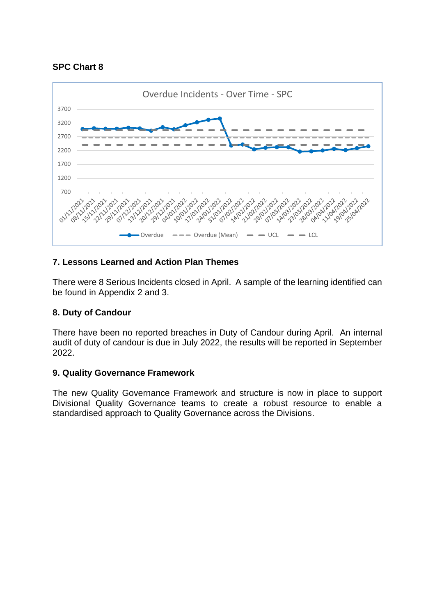## **SPC Chart 8**



## **7. Lessons Learned and Action Plan Themes**

There were 8 Serious Incidents closed in April. A sample of the learning identified can be found in Appendix 2 and 3.

## **8. Duty of Candour**

There have been no reported breaches in Duty of Candour during April. An internal audit of duty of candour is due in July 2022, the results will be reported in September 2022.

## **9. Quality Governance Framework**

The new Quality Governance Framework and structure is now in place to support Divisional Quality Governance teams to create a robust resource to enable a standardised approach to Quality Governance across the Divisions.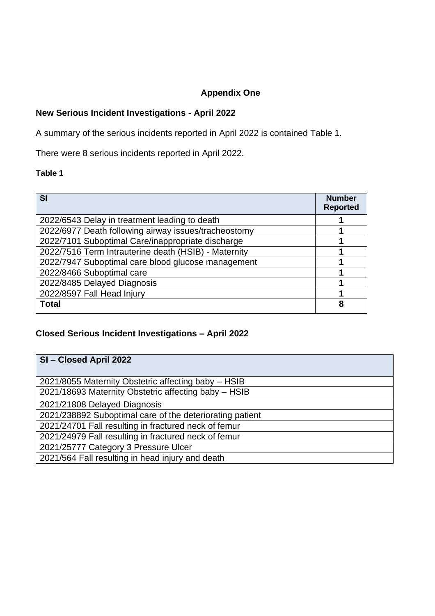## **Appendix One**

## **New Serious Incident Investigations - April 2022**

A summary of the serious incidents reported in April 2022 is contained Table 1.

There were 8 serious incidents reported in April 2022.

#### **Table 1**

| SI                                                   | <b>Number</b><br><b>Reported</b> |
|------------------------------------------------------|----------------------------------|
| 2022/6543 Delay in treatment leading to death        |                                  |
| 2022/6977 Death following airway issues/tracheostomy |                                  |
| 2022/7101 Suboptimal Care/inappropriate discharge    |                                  |
| 2022/7516 Term Intrauterine death (HSIB) - Maternity |                                  |
| 2022/7947 Suboptimal care blood glucose management   |                                  |
| 2022/8466 Suboptimal care                            |                                  |
| 2022/8485 Delayed Diagnosis                          |                                  |
| 2022/8597 Fall Head Injury                           |                                  |
| <b>Total</b>                                         | 8                                |

## **Closed Serious Incident Investigations – April 2022**

| SI-Closed April 2022                                     |  |  |
|----------------------------------------------------------|--|--|
|                                                          |  |  |
| 2021/8055 Maternity Obstetric affecting baby - HSIB      |  |  |
| 2021/18693 Maternity Obstetric affecting baby - HSIB     |  |  |
| 2021/21808 Delayed Diagnosis                             |  |  |
| 2021/238892 Suboptimal care of the deteriorating patient |  |  |
| 2021/24701 Fall resulting in fractured neck of femur     |  |  |
| 2021/24979 Fall resulting in fractured neck of femur     |  |  |
| 2021/25777 Category 3 Pressure Ulcer                     |  |  |
| 2021/564 Fall resulting in head injury and death         |  |  |